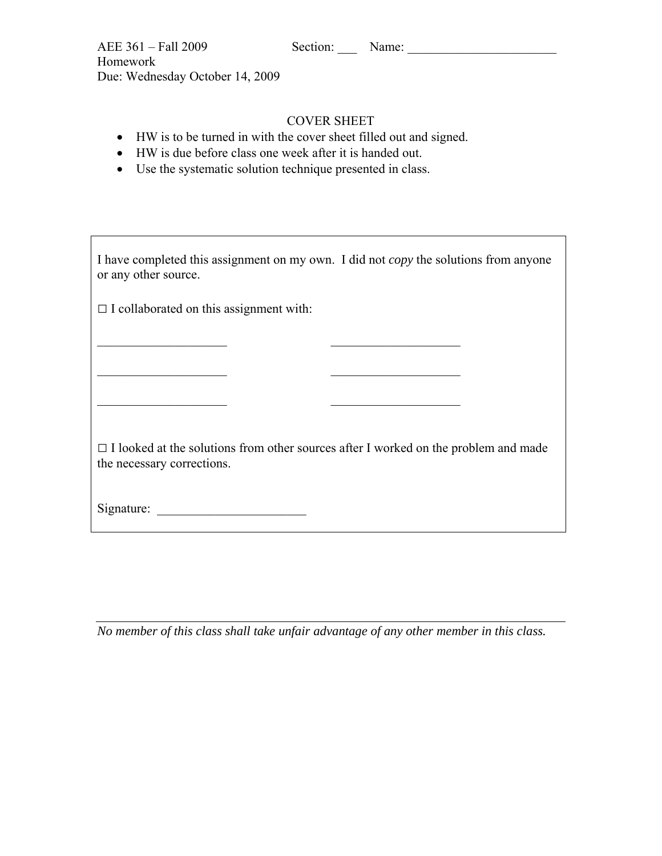| AEE 361 - Fall 2009<br>Homework<br>Due: Wednesday October 14, 2009                                                                                                                                                               | Section: Name:     |                                                                                             |
|----------------------------------------------------------------------------------------------------------------------------------------------------------------------------------------------------------------------------------|--------------------|---------------------------------------------------------------------------------------------|
| HW is to be turned in with the cover sheet filled out and signed.<br>$\bullet$<br>HW is due before class one week after it is handed out.<br>$\bullet$<br>Use the systematic solution technique presented in class.<br>$\bullet$ | <b>COVER SHEET</b> |                                                                                             |
|                                                                                                                                                                                                                                  |                    | I have completed this assignment on my own. I did not <i>copy</i> the solutions from anyone |

 $\Box$  I collaborated on this assignment with:

or any other source.

□ I looked at the solutions from other sources after I worked on the problem and made the necessary corrections.

 $\mathcal{L}_\text{max}$  and  $\mathcal{L}_\text{max}$  and  $\mathcal{L}_\text{max}$  and  $\mathcal{L}_\text{max}$ 

 $\mathcal{L}_\mathcal{L} = \mathcal{L}_\mathcal{L} = \mathcal{L}_\mathcal{L} = \mathcal{L}_\mathcal{L} = \mathcal{L}_\mathcal{L} = \mathcal{L}_\mathcal{L} = \mathcal{L}_\mathcal{L} = \mathcal{L}_\mathcal{L} = \mathcal{L}_\mathcal{L} = \mathcal{L}_\mathcal{L} = \mathcal{L}_\mathcal{L} = \mathcal{L}_\mathcal{L} = \mathcal{L}_\mathcal{L} = \mathcal{L}_\mathcal{L} = \mathcal{L}_\mathcal{L} = \mathcal{L}_\mathcal{L} = \mathcal{L}_\mathcal{L}$ 

 $\mathcal{L}_\mathcal{L} = \mathcal{L}_\mathcal{L} = \mathcal{L}_\mathcal{L} = \mathcal{L}_\mathcal{L} = \mathcal{L}_\mathcal{L} = \mathcal{L}_\mathcal{L} = \mathcal{L}_\mathcal{L} = \mathcal{L}_\mathcal{L} = \mathcal{L}_\mathcal{L} = \mathcal{L}_\mathcal{L} = \mathcal{L}_\mathcal{L} = \mathcal{L}_\mathcal{L} = \mathcal{L}_\mathcal{L} = \mathcal{L}_\mathcal{L} = \mathcal{L}_\mathcal{L} = \mathcal{L}_\mathcal{L} = \mathcal{L}_\mathcal{L}$ 

Signature:

*No member of this class shall take unfair advantage of any other member in this class.*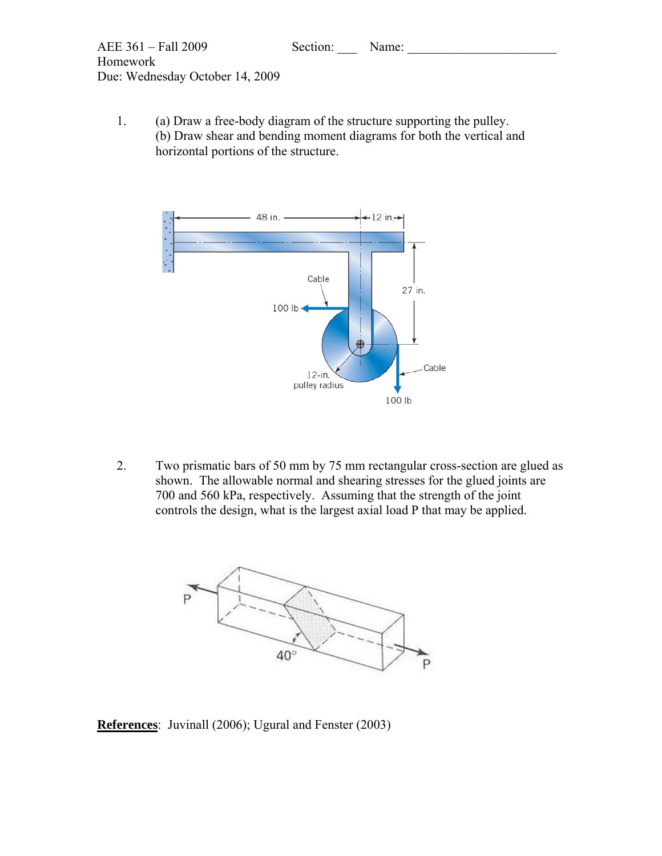

1. (a) Draw a free-body diagram of the structure supporting the pulley. (b) Draw shear and bending moment diagrams for both the vertical and horizontal portions of the structure.



2. Two prismatic bars of 50 mm by 75 mm rectangular cross-section are glued as shown. The allowable normal and shearing stresses for the glued joints are 700 and 560 kPa, respectively. Assuming that the strength of the joint controls the design, what is the largest axial load P that may be applied.



**References**: Juvinall (2006); Ugural and Fenster (2003)